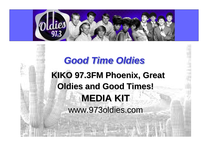

# **KIKO 97.3FM Phoenix, Great Oldies and Good Times! MEDIA KIT** www.973oldies.com *Good Time Oldies*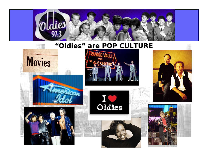

### **"Oldies" are POP CULTURE**

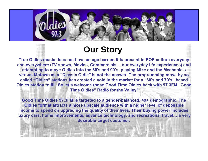

### **Our Story**

**True Oldies music does not have an age barrier. It is present in POP culture everyday and everywhere (TV shows, Movies, Commercials….our everyday life experiences) and attempting to move Oldies into the 80's and 90's, playing Mike and the Mechanic's versus Motown as a "Classic Oldie" is not the answer. The programming move by so called "Oldies" stations has created a void in the market for a "60's and 70's" based Oldies station to fill. So let's welcome those Good Time Oldies back with 97.3FM "Good Time Oldies" Radio for the Valley!**

**Good Time Oldies 97.3FM is targeted to a gender-balanced, 49+ demographic. The Oldies format attracts a more upscale audience with a higher level of deposable income to spend on upgrading the quality of their lives. Their buying power includes luxury cars, home improvements, advance technology, and recreational travel….a very desirable target customer.**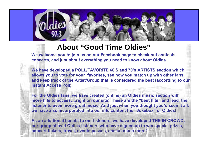### **About "Good Time Oldies"**

**We welcome you to join us on our Facebook page to check out contests, concerts, and just about everything you need to know about Oldies.**

**We have developed a POLL/FAVORITE 60'S and 70's ARTISTS section which allows you to vote for your favorites, see how you match up with other fans, and keep track of the Artist/Group that is considered the best (according to our Instant Access Poll).**

**For the Oldies fans, we have created (online) an Oldies music section with more hits to access….right on our site! These are the "best hits" and lead the listener to even more great music. And just when you thought you'd seen it all, we have also incorporated into our site content the "Jukebox" of Oldies!**

**As an additional benefit to our listeners, we have developed THE IN CROWD; our group of avid Oldies listeners who have signed up to win special prizes, concert tickets, travel, events passes, and so much more!**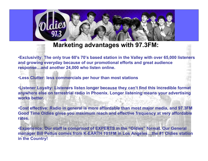### **Marketing advantages with 97.3FM:**

•**Exclusivity: The only true 60's 70's based station in the Valley with over 65,000 listeners and growing everyday because of our promotional efforts and great audience response…and another 24,000 who listen online.**

•**Less Clutter: less commercials per hour than most stations**

•**Listener Loyalty: Listeners listen longer because they can't find this incredible format anywhere else on terrestrial radio in Phoenix. Longer listening means your advertising works better.**

•**Cost effective: Radio in general is more affordable than most major media, and 97.3FM Good Time Oldies gives you maximum reach and effective frequency at very affordable rates.**

•**Experience: Our staff is comprised of EXPERTS in the "Oldies" format. Our General manager Bill Pettus comes from K-EARTH 101FM in Los Angeles…the #1 Oldies station in the Country!**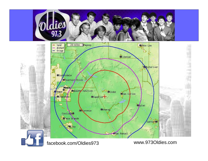